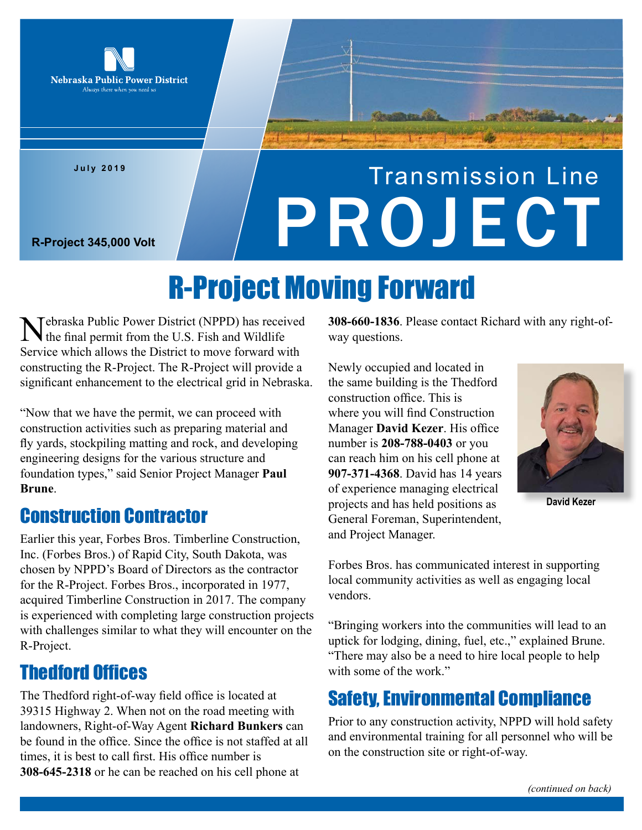

**July 2019**

# Transmission Line R-Project 345,000 Volt

## R-Project Moving Forward

Tebraska Public Power District (NPPD) has received the final permit from the U.S. Fish and Wildlife Service which allows the District to move forward with constructing the R-Project. The R-Project will provide a significant enhancement to the electrical grid in Nebraska.

"Now that we have the permit, we can proceed with construction activities such as preparing material and fly yards, stockpiling matting and rock, and developing engineering designs for the various structure and foundation types," said Senior Project Manager **Paul Brune**.

#### Construction Contractor

Earlier this year, Forbes Bros. Timberline Construction, Inc. (Forbes Bros.) of Rapid City, South Dakota, was chosen by NPPD's Board of Directors as the contractor for the R-Project. Forbes Bros., incorporated in 1977, acquired Timberline Construction in 2017. The company is experienced with completing large construction projects with challenges similar to what they will encounter on the R-Project.

## Thedford Offices

The Thedford right-of-way field office is located at 39315 Highway 2. When not on the road meeting with landowners, Right-of-Way Agent **Richard Bunkers** can be found in the office. Since the office is not staffed at all times, it is best to call first. His office number is **308-645-2318** or he can be reached on his cell phone at

**308-660-1836**. Please contact Richard with any right-ofway questions.

Newly occupied and located in the same building is the Thedford construction office. This is where you will find Construction Manager **David Kezer**. His office number is **208-788-0403** or you can reach him on his cell phone at **907-371-4368**. David has 14 years of experience managing electrical projects and has held positions as General Foreman, Superintendent, and Project Manager.



**David Kezer**

Forbes Bros. has communicated interest in supporting local community activities as well as engaging local vendors.

"Bringing workers into the communities will lead to an uptick for lodging, dining, fuel, etc.," explained Brune. "There may also be a need to hire local people to help with some of the work."

## Safety, Environmental Compliance

Prior to any construction activity, NPPD will hold safety and environmental training for all personnel who will be on the construction site or right-of-way.